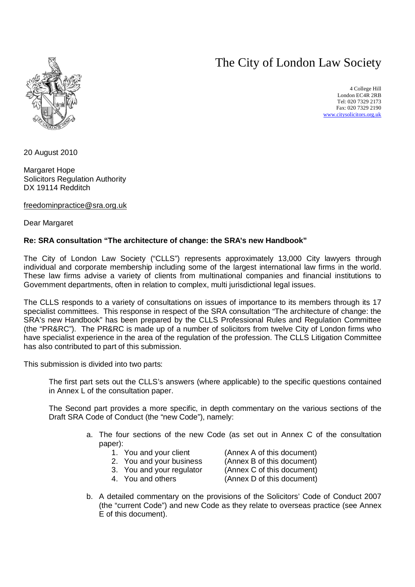# The City of London Law Society



4 College Hill London EC4R 2RB Tel: 020 7329 2173 Fax: 020 7329 2190 [www.citysolicitors.org.uk](http://www.citysolicitors.org.uk)

20 August 2010

Margaret Hope Solicitors Regulation Authority DX 19114 Redditch

[freedominpractice@sra.org.uk](mailto:freedominpractice@sra.org.uk)

Dear Margaret

# **Re: SRA consultation "The architecture of change: the SRA's new Handbook"**

The City of London Law Society ("CLLS") represents approximately 13,000 City lawyers through individual and corporate membership including some of the largest international law firms in the world. These law firms advise a variety of clients from multinational companies and financial institutions to Government departments, often in relation to complex, multi jurisdictional legal issues.

The CLLS responds to a variety of consultations on issues of importance to its members through its 17 specialist committees. This response in respect of the SRA consultation "The architecture of change: the SRA's new Handbook" has been prepared by the CLLS Professional Rules and Regulation Committee (the "PR&RC"). The PR&RC is made up of a number of solicitors from twelve City of London firms who have specialist experience in the area of the regulation of the profession. The CLLS Litigation Committee has also contributed to part of this submission.

This submission is divided into two parts:

The first part sets out the CLLS's answers (where applicable) to the specific questions contained in Annex L of the consultation paper.

The Second part provides a more specific, in depth commentary on the various sections of the Draft SRA Code of Conduct (the "new Code"), namely:

- a. The four sections of the new Code (as set out in Annex C of the consultation paper):
	-

1. You and your client (Annex A of this document)

2. You and your business (Annex B of this document)

- 3. You and your regulator (Annex C of this document)
- 
- 4. You and others (Annex D of this document)
- b. A detailed commentary on the provisions of the Solicitors' Code of Conduct 2007 (the "current Code") and new Code as they relate to overseas practice (see Annex E of this document).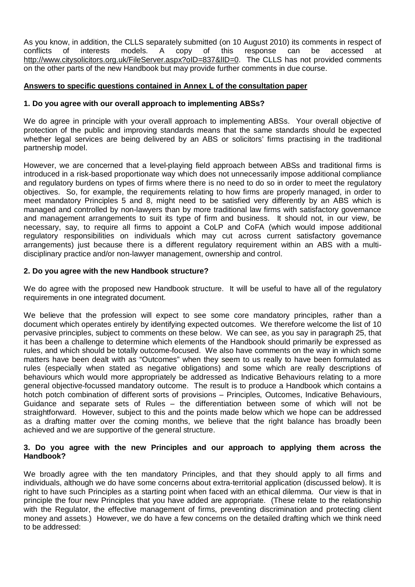As you know, in addition, the CLLS separately submitted (on 10 August 2010) its comments in respect of conflicts of interests models. A copy of this response can be accessed at <http://www.citysolicitors.org.uk/FileServer.aspx?oID=837&lID=0.> The CLLS has not provided comments on the other parts of the new Handbook but may provide further comments in due course.

# **Answers to specific questions contained in Annex L of the consultation paper**

## **1. Do you agree with our overall approach to implementing ABSs?**

We do agree in principle with your overall approach to implementing ABSs. Your overall objective of protection of the public and improving standards means that the same standards should be expected whether legal services are being delivered by an ABS or solicitors' firms practising in the traditional partnership model.

However, we are concerned that a level-playing field approach between ABSs and traditional firms is introduced in a risk-based proportionate way which does not unnecessarily impose additional compliance and regulatory burdens on types of firms where there is no need to do so in order to meet the regulatory objectives. So, for example, the requirements relating to how firms are properly managed, in order to meet mandatory Principles 5 and 8, might need to be satisfied very differently by an ABS which is managed and controlled by non-lawyers than by more traditional law firms with satisfactory governance and management arrangements to suit its type of firm and business. It should not, in our view, be necessary, say, to require all firms to appoint a CoLP and CoFA (which would impose additional regulatory responsibilities on individuals which may cut across current satisfactory governance arrangements) just because there is a different regulatory requirement within an ABS with a multidisciplinary practice and/or non-lawyer management, ownership and control.

## **2. Do you agree with the new Handbook structure?**

We do agree with the proposed new Handbook structure. It will be useful to have all of the regulatory requirements in one integrated document.

We believe that the profession will expect to see some core mandatory principles, rather than a document which operates entirely by identifying expected outcomes. We therefore welcome the list of 10 pervasive principles, subject to comments on these below. We can see, as you say in paragraph 25, that it has been a challenge to determine which elements of the Handbook should primarily be expressed as rules, and which should be totally outcome-focused. We also have comments on the way in which some matters have been dealt with as "Outcomes" when they seem to us really to have been formulated as rules (especially when stated as negative obligations) and some which are really descriptions of behaviours which would more appropriately be addressed as Indicative Behaviours relating to a more general objective-focussed mandatory outcome. The result is to produce a Handbook which contains a hotch potch combination of different sorts of provisions – Principles, Outcomes, Indicative Behaviours, Guidance and separate sets of Rules – the differentiation between some of which will not be straightforward. However, subject to this and the points made below which we hope can be addressed as a drafting matter over the coming months, we believe that the right balance has broadly been achieved and we are supportive of the general structure.

## **3. Do you agree with the new Principles and our approach to applying them across the Handbook?**

We broadly agree with the ten mandatory Principles, and that they should apply to all firms and individuals, although we do have some concerns about extra-territorial application (discussed below). It is right to have such Principles as a starting point when faced with an ethical dilemma. Our view is that in principle the four new Principles that you have added are appropriate. (These relate to the relationship with the Regulator, the effective management of firms, preventing discrimination and protecting client money and assets.) However, we do have a few concerns on the detailed drafting which we think need to be addressed: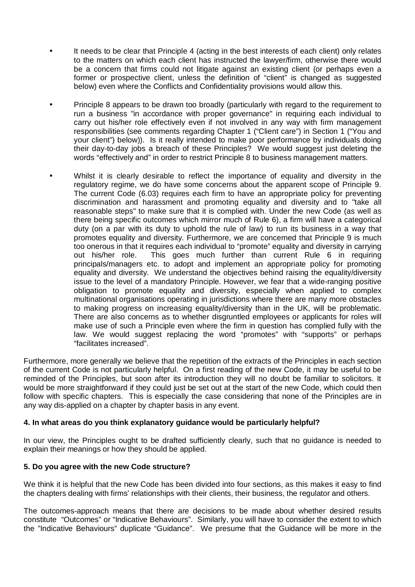- It needs to be clear that Principle 4 (acting in the best interests of each client) only relates to the matters on which each client has instructed the lawyer/firm, otherwise there would be a concern that firms could not litigate against an existing client (or perhaps even a former or prospective client, unless the definition of "client" is changed as suggested below) even where the Conflicts and Confidentiality provisions would allow this.
- Principle 8 appears to be drawn too broadly (particularly with regard to the requirement to run a business "in accordance with proper governance" in requiring each individual to carry out his/her role effectively even if not involved in any way with firm management responsibilities (see comments regarding Chapter 1 ("Client care") in Section 1 ("You and your client") below)). Is it really intended to make poor performance by individuals doing their day-to-day jobs a breach of these Principles? We would suggest just deleting the words "effectively and" in order to restrict Principle 8 to business management matters.
- Whilst it is clearly desirable to reflect the importance of equality and diversity in the regulatory regime, we do have some concerns about the apparent scope of Principle 9. The current Code (6.03) requires each firm to have an appropriate policy for preventing discrimination and harassment and promoting equality and diversity and to "take all reasonable steps" to make sure that it is complied with. Under the new Code (as well as there being specific outcomes which mirror much of Rule 6), a firm will have a categorical duty (on a par with its duty to uphold the rule of law) to run its business in a way that promotes equality and diversity. Furthermore, we are concerned that Principle 9 is much too onerous in that it requires each individual to "promote" equality and diversity in carrying out his/her role. This goes much further than current Rule 6 in requiring principals/managers etc. to adopt and implement an appropriate policy for promoting equality and diversity. We understand the objectives behind raising the equality/diversity issue to the level of a mandatory Principle. However, we fear that a wide-ranging positive obligation to promote equality and diversity, especially when applied to complex multinational organisations operating in jurisdictions where there are many more obstacles to making progress on increasing equality/diversity than in the UK, will be problematic. There are also concerns as to whether disgruntled employees or applicants for roles will make use of such a Principle even where the firm in question has complied fully with the law. We would suggest replacing the word "promotes" with "supports" or perhaps "facilitates increased".

Furthermore, more generally we believe that the repetition of the extracts of the Principles in each section of the current Code is not particularly helpful. On a first reading of the new Code, it may be useful to be reminded of the Principles, but soon after its introduction they will no doubt be familiar to solicitors. It would be more straightforward if they could just be set out at the start of the new Code, which could then follow with specific chapters. This is especially the case considering that none of the Principles are in any way dis-applied on a chapter by chapter basis in any event.

# **4. In what areas do you think explanatory guidance would be particularly helpful?**

In our view, the Principles ought to be drafted sufficiently clearly, such that no guidance is needed to explain their meanings or how they should be applied.

# **5. Do you agree with the new Code structure?**

We think it is helpful that the new Code has been divided into four sections, as this makes it easy to find the chapters dealing with firms' relationships with their clients, their business, the regulator and others.

The outcomes-approach means that there are decisions to be made about whether desired results constitute "Outcomes" or "Indicative Behaviours". Similarly, you will have to consider the extent to which the "Indicative Behaviours" duplicate "Guidance". We presume that the Guidance will be more in the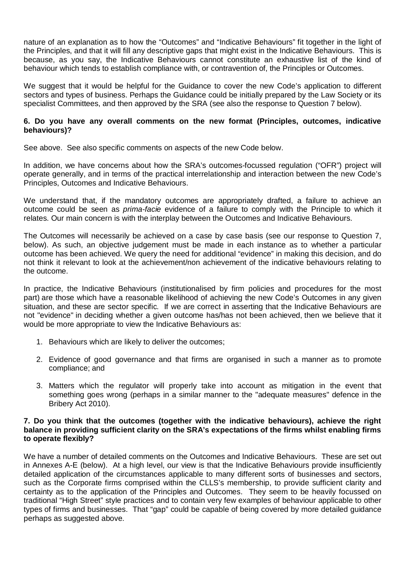nature of an explanation as to how the "Outcomes" and "Indicative Behaviours" fit together in the light of the Principles, and that it will fill any descriptive gaps that might exist in the Indicative Behaviours. This is because, as you say, the Indicative Behaviours cannot constitute an exhaustive list of the kind of behaviour which tends to establish compliance with, or contravention of, the Principles or Outcomes.

We suggest that it would be helpful for the Guidance to cover the new Code's application to different sectors and types of business. Perhaps the Guidance could be initially prepared by the Law Society or its specialist Committees, and then approved by the SRA (see also the response to Question 7 below).

# **6. Do you have any overall comments on the new format (Principles, outcomes, indicative behaviours)?**

See above. See also specific comments on aspects of the new Code below.

In addition, we have concerns about how the SRA's outcomes-focussed regulation ("OFR") project will operate generally, and in terms of the practical interrelationship and interaction between the new Code's Principles, Outcomes and Indicative Behaviours.

We understand that, if the mandatory outcomes are appropriately drafted, a failure to achieve an outcome could be seen as *prima-facie* evidence of a failure to comply with the Principle to which it relates. Our main concern is with the interplay between the Outcomes and Indicative Behaviours.

The Outcomes will necessarily be achieved on a case by case basis (see our response to Question 7, below). As such, an objective judgement must be made in each instance as to whether a particular outcome has been achieved. We query the need for additional "evidence" in making this decision, and do not think it relevant to look at the achievement/non achievement of the indicative behaviours relating to the outcome.

In practice, the Indicative Behaviours (institutionalised by firm policies and procedures for the most part) are those which have a reasonable likelihood of achieving the new Code's Outcomes in any given situation, and these are sector specific. If we are correct in asserting that the Indicative Behaviours are not "evidence" in deciding whether a given outcome has/has not been achieved, then we believe that it would be more appropriate to view the Indicative Behaviours as:

- 1. Behaviours which are likely to deliver the outcomes;
- 2. Evidence of good governance and that firms are organised in such a manner as to promote compliance; and
- 3. Matters which the regulator will properly take into account as mitigation in the event that something goes wrong (perhaps in a similar manner to the "adequate measures" defence in the Bribery Act 2010).

#### **7. Do you think that the outcomes (together with the indicative behaviours), achieve the right balance in providing sufficient clarity on the SRA's expectations of the firms whilst enabling firms to operate flexibly?**

We have a number of detailed comments on the Outcomes and Indicative Behaviours. These are set out in Annexes A-E (below). At a high level, our view is that the Indicative Behaviours provide insufficiently detailed application of the circumstances applicable to many different sorts of businesses and sectors, such as the Corporate firms comprised within the CLLS's membership, to provide sufficient clarity and certainty as to the application of the Principles and Outcomes. They seem to be heavily focussed on traditional "High Street" style practices and to contain very few examples of behaviour applicable to other types of firms and businesses. That "gap" could be capable of being covered by more detailed guidance perhaps as suggested above.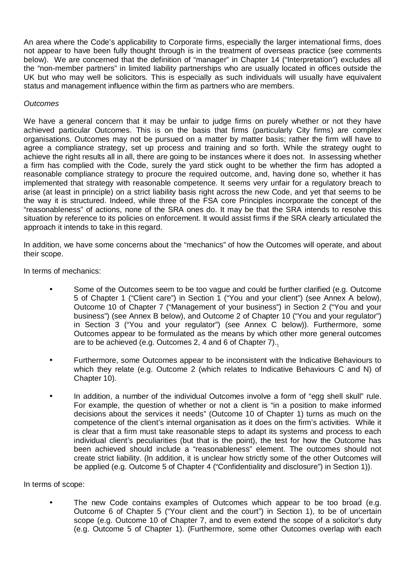An area where the Code's applicability to Corporate firms, especially the larger international firms, does not appear to have been fully thought through is in the treatment of overseas practice (see comments below). We are concerned that the definition of "manager" in Chapter 14 ("Interpretation") excludes all the "non-member partners" in limited liability partnerships who are usually located in offices outside the UK but who may well be solicitors. This is especially as such individuals will usually have equivalent status and management influence within the firm as partners who are members.

# *Outcomes*

We have a general concern that it may be unfair to judge firms on purely whether or not they have achieved particular Outcomes. This is on the basis that firms (particularly City firms) are complex organisations. Outcomes may not be pursued on a matter by matter basis; rather the firm will have to agree a compliance strategy, set up process and training and so forth. While the strategy ought to achieve the right results all in all, there are going to be instances where it does not. In assessing whether a firm has complied with the Code, surely the yard stick ought to be whether the firm has adopted a reasonable compliance strategy to procure the required outcome, and, having done so, whether it has implemented that strategy with reasonable competence. It seems very unfair for a regulatory breach to arise (at least in principle) on a strict liability basis right across the new Code, and yet that seems to be the way it is structured. Indeed, while three of the FSA core Principles incorporate the concept of the "reasonableness" of actions, none of the SRA ones do. It may be that the SRA intends to resolve this situation by reference to its policies on enforcement. It would assist firms if the SRA clearly articulated the approach it intends to take in this regard.

In addition, we have some concerns about the "mechanics" of how the Outcomes will operate, and about their scope.

In terms of mechanics:

- Some of the Outcomes seem to be too vague and could be further clarified (e.g. Outcome 5 of Chapter 1 ("Client care") in Section 1 ("You and your client") (see Annex A below), Outcome 10 of Chapter 7 ("Management of your business") in Section 2 ("You and your business") (see Annex B below), and Outcome 2 of Chapter 10 ("You and your regulator") in Section 3 ("You and your regulator") (see Annex C below)). Furthermore, some Outcomes appear to be formulated as the means by which other more general outcomes are to be achieved (e.g. Outcomes 2, 4 and 6 of Chapter 7)..
- Furthermore, some Outcomes appear to be inconsistent with the Indicative Behaviours to which they relate (e.g. Outcome 2 (which relates to Indicative Behaviours C and N) of Chapter 10).
- In addition, a number of the individual Outcomes involve a form of "egg shell skull" rule. For example, the question of whether or not a client is "in a position to make informed decisions about the services it needs" (Outcome 10 of Chapter 1) turns as much on the competence of the client's internal organisation as it does on the firm's activities. While it is clear that a firm must take reasonable steps to adapt its systems and process to each individual client's peculiarities (but that is the point), the test for how the Outcome has been achieved should include a "reasonableness" element. The outcomes should not create strict liability. (In addition, it is unclear how strictly some of the other Outcomes will be applied (e.g. Outcome 5 of Chapter 4 ("Confidentiality and disclosure") in Section 1)).

In terms of scope:

The new Code contains examples of Outcomes which appear to be too broad (e.g. Outcome 6 of Chapter 5 ("Your client and the court") in Section 1), to be of uncertain scope (e.g. Outcome 10 of Chapter 7, and to even extend the scope of a solicitor's duty (e.g. Outcome 5 of Chapter 1). (Furthermore, some other Outcomes overlap with each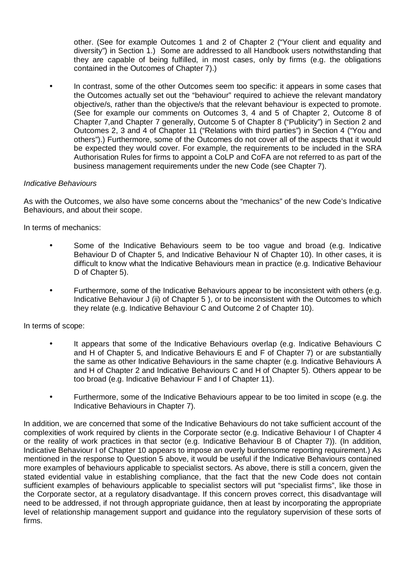other. (See for example Outcomes 1 and 2 of Chapter 2 ("Your client and equality and diversity") in Section 1.) Some are addressed to all Handbook users notwithstanding that they are capable of being fulfilled, in most cases, only by firms (e.g. the obligations contained in the Outcomes of Chapter 7).)

• In contrast, some of the other Outcomes seem too specific: it appears in some cases that the Outcomes actually set out the "behaviour" required to achieve the relevant mandatory objective/s, rather than the objective/s that the relevant behaviour is expected to promote. (See for example our comments on Outcomes 3, 4 and 5 of Chapter 2, Outcome 8 of Chapter 7,and Chapter 7 generally, Outcome 5 of Chapter 8 ("Publicity") in Section 2 and Outcomes 2, 3 and 4 of Chapter 11 ("Relations with third parties") in Section 4 ("You and others").) Furthermore, some of the Outcomes do not cover all of the aspects that it would be expected they would cover. For example, the requirements to be included in the SRA Authorisation Rules for firms to appoint a CoLP and CoFA are not referred to as part of the business management requirements under the new Code (see Chapter 7).

# *Indicative Behaviours*

As with the Outcomes, we also have some concerns about the "mechanics" of the new Code's Indicative Behaviours, and about their scope.

In terms of mechanics:

- Some of the Indicative Behaviours seem to be too vague and broad (e.g. Indicative Behaviour D of Chapter 5, and Indicative Behaviour N of Chapter 10). In other cases, it is difficult to know what the Indicative Behaviours mean in practice (e.g. Indicative Behaviour D of Chapter 5).
- Furthermore, some of the Indicative Behaviours appear to be inconsistent with others (e.g. Indicative Behaviour J (ii) of Chapter 5 ), or to be inconsistent with the Outcomes to which they relate (e.g. Indicative Behaviour C and Outcome 2 of Chapter 10).

In terms of scope:

- It appears that some of the Indicative Behaviours overlap (e.g. Indicative Behaviours C and H of Chapter 5, and Indicative Behaviours E and F of Chapter 7) or are substantially the same as other Indicative Behaviours in the same chapter (e.g. Indicative Behaviours A and H of Chapter 2 and Indicative Behaviours C and H of Chapter 5). Others appear to be too broad (e.g. Indicative Behaviour F and I of Chapter 11).
- Furthermore, some of the Indicative Behaviours appear to be too limited in scope (e.g. the Indicative Behaviours in Chapter 7).

In addition, we are concerned that some of the Indicative Behaviours do not take sufficient account of the complexities of work required by clients in the Corporate sector (e.g. Indicative Behaviour I of Chapter 4 or the reality of work practices in that sector (e.g. Indicative Behaviour B of Chapter 7)). (In addition, Indicative Behaviour I of Chapter 10 appears to impose an overly burdensome reporting requirement.) As mentioned in the response to Question 5 above, it would be useful if the Indicative Behaviours contained more examples of behaviours applicable to specialist sectors. As above, there is still a concern, given the stated evidential value in establishing compliance, that the fact that the new Code does not contain sufficient examples of behaviours applicable to specialist sectors will put "specialist firms", like those in the Corporate sector, at a regulatory disadvantage. If this concern proves correct, this disadvantage will need to be addressed, if not through appropriate guidance, then at least by incorporating the appropriate level of relationship management support and guidance into the regulatory supervision of these sorts of firms.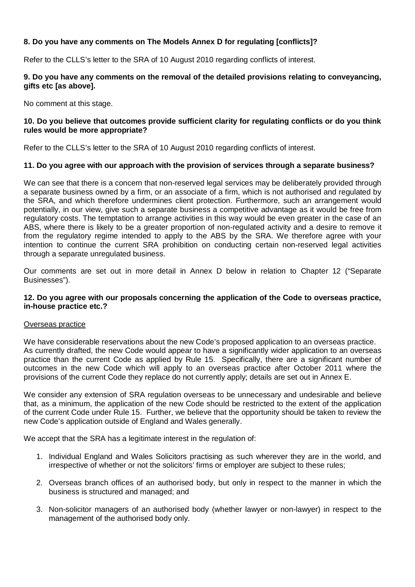# **8. Do you have any comments on The Models Annex D for regulating [conflicts]?**

Refer to the CLLS's letter to the SRA of 10 August 2010 regarding conflicts of interest.

# **9. Do you have any comments on the removal of the detailed provisions relating to conveyancing, gifts etc [as above].**

No comment at this stage.

# **10. Do you believe that outcomes provide sufficient clarity for regulating conflicts or do you think rules would be more appropriate?**

Refer to the CLLS's letter to the SRA of 10 August 2010 regarding conflicts of interest.

# **11. Do you agree with our approach with the provision of services through a separate business?**

We can see that there is a concern that non-reserved legal services may be deliberately provided through a separate business owned by a firm, or an associate of a firm, which is not authorised and regulated by the SRA, and which therefore undermines client protection. Furthermore, such an arrangement would potentially, in our view, give such a separate business a competitive advantage as it would be free from regulatory costs. The temptation to arrange activities in this way would be even greater in the case of an ABS, where there is likely to be a greater proportion of non-regulated activity and a desire to remove it from the regulatory regime intended to apply to the ABS by the SRA. We therefore agree with your intention to continue the current SRA prohibition on conducting certain non-reserved legal activities through a separate unregulated business.

Our comments are set out in more detail in Annex D below in relation to Chapter 12 ("Separate Businesses").

## **12. Do you agree with our proposals concerning the application of the Code to overseas practice, in-house practice etc.?**

#### Overseas practice

We have considerable reservations about the new Code's proposed application to an overseas practice. As currently drafted, the new Code would appear to have a significantly wider application to an overseas practice than the current Code as applied by Rule 15. Specifically, there are a significant number of outcomes in the new Code which will apply to an overseas practice after October 2011 where the provisions of the current Code they replace do not currently apply; details are set out in Annex E.

We consider any extension of SRA regulation overseas to be unnecessary and undesirable and believe that, as a minimum, the application of the new Code should be restricted to the extent of the application of the current Code under Rule 15. Further, we believe that the opportunity should be taken to review the new Code's application outside of England and Wales generally.

We accept that the SRA has a legitimate interest in the regulation of:

- 1. Individual England and Wales Solicitors practising as such wherever they are in the world, and irrespective of whether or not the solicitors' firms or employer are subject to these rules;
- 2. Overseas branch offices of an authorised body, but only in respect to the manner in which the business is structured and managed; and
- 3. Non-solicitor managers of an authorised body (whether lawyer or non-lawyer) in respect to the management of the authorised body only.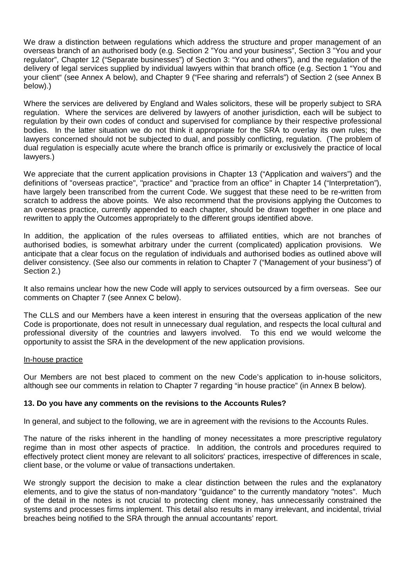We draw a distinction between regulations which address the structure and proper management of an overseas branch of an authorised body (e.g. Section 2 "You and your business", Section 3 "You and your regulator", Chapter 12 ("Separate businesses") of Section 3: "You and others"), and the regulation of the delivery of legal services supplied by individual lawyers within that branch office (e.g. Section 1 "You and your client" (see Annex A below), and Chapter 9 ("Fee sharing and referrals") of Section 2 (see Annex B below).)

Where the services are delivered by England and Wales solicitors, these will be properly subject to SRA regulation. Where the services are delivered by lawyers of another jurisdiction, each will be subject to regulation by their own codes of conduct and supervised for compliance by their respective professional bodies. In the latter situation we do not think it appropriate for the SRA to overlay its own rules; the lawyers concerned should not be subjected to dual, and possibly conflicting, regulation. (The problem of dual regulation is especially acute where the branch office is primarily or exclusively the practice of local lawyers.)

We appreciate that the current application provisions in Chapter 13 ("Application and waivers") and the definitions of "overseas practice", "practice" and "practice from an office" in Chapter 14 ("Interpretation"), have largely been transcribed from the current Code. We suggest that these need to be re-written from scratch to address the above points. We also recommend that the provisions applying the Outcomes to an overseas practice, currently appended to each chapter, should be drawn together in one place and rewritten to apply the Outcomes appropriately to the different groups identified above.

In addition, the application of the rules overseas to affiliated entities, which are not branches of authorised bodies, is somewhat arbitrary under the current (complicated) application provisions. We anticipate that a clear focus on the regulation of individuals and authorised bodies as outlined above will deliver consistency. (See also our comments in relation to Chapter 7 ("Management of your business") of Section 2.)

It also remains unclear how the new Code will apply to services outsourced by a firm overseas. See our comments on Chapter 7 (see Annex C below).

The CLLS and our Members have a keen interest in ensuring that the overseas application of the new Code is proportionate, does not result in unnecessary dual regulation, and respects the local cultural and professional diversity of the countries and lawyers involved. To this end we would welcome the opportunity to assist the SRA in the development of the new application provisions.

#### In-house practice

Our Members are not best placed to comment on the new Code's application to in-house solicitors, although see our comments in relation to Chapter 7 regarding "in house practice" (in Annex B below).

#### **13. Do you have any comments on the revisions to the Accounts Rules?**

In general, and subject to the following, we are in agreement with the revisions to the Accounts Rules.

The nature of the risks inherent in the handling of money necessitates a more prescriptive regulatory regime than in most other aspects of practice. In addition, the controls and procedures required to effectively protect client money are relevant to all solicitors' practices, irrespective of differences in scale, client base, or the volume or value of transactions undertaken.

We strongly support the decision to make a clear distinction between the rules and the explanatory elements, and to give the status of non-mandatory "guidance" to the currently mandatory "notes". Much of the detail in the notes is not crucial to protecting client money, has unnecessarily constrained the systems and processes firms implement. This detail also results in many irrelevant, and incidental, trivial breaches being notified to the SRA through the annual accountants' report.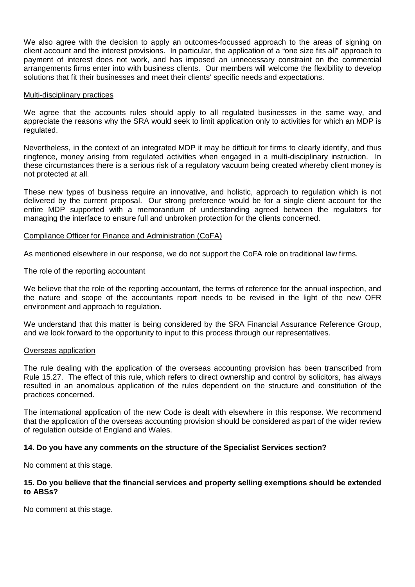We also agree with the decision to apply an outcomes-focussed approach to the areas of signing on client account and the interest provisions. In particular, the application of a "one size fits all" approach to payment of interest does not work, and has imposed an unnecessary constraint on the commercial arrangements firms enter into with business clients. Our members will welcome the flexibility to develop solutions that fit their businesses and meet their clients' specific needs and expectations.

#### Multi-disciplinary practices

We agree that the accounts rules should apply to all regulated businesses in the same way, and appreciate the reasons why the SRA would seek to limit application only to activities for which an MDP is regulated.

Nevertheless, in the context of an integrated MDP it may be difficult for firms to clearly identify, and thus ringfence, money arising from regulated activities when engaged in a multi-disciplinary instruction. In these circumstances there is a serious risk of a regulatory vacuum being created whereby client money is not protected at all.

These new types of business require an innovative, and holistic, approach to regulation which is not delivered by the current proposal. Our strong preference would be for a single client account for the entire MDP supported with a memorandum of understanding agreed between the regulators for managing the interface to ensure full and unbroken protection for the clients concerned.

## Compliance Officer for Finance and Administration (CoFA)

As mentioned elsewhere in our response, we do not support the CoFA role on traditional law firms.

#### The role of the reporting accountant

We believe that the role of the reporting accountant, the terms of reference for the annual inspection, and the nature and scope of the accountants report needs to be revised in the light of the new OFR environment and approach to regulation.

We understand that this matter is being considered by the SRA Financial Assurance Reference Group, and we look forward to the opportunity to input to this process through our representatives.

#### Overseas application

The rule dealing with the application of the overseas accounting provision has been transcribed from Rule 15.27. The effect of this rule, which refers to direct ownership and control by solicitors, has always resulted in an anomalous application of the rules dependent on the structure and constitution of the practices concerned.

The international application of the new Code is dealt with elsewhere in this response. We recommend that the application of the overseas accounting provision should be considered as part of the wider review of regulation outside of England and Wales.

# **14. Do you have any comments on the structure of the Specialist Services section?**

No comment at this stage.

## **15. Do you believe that the financial services and property selling exemptions should be extended to ABSs?**

No comment at this stage.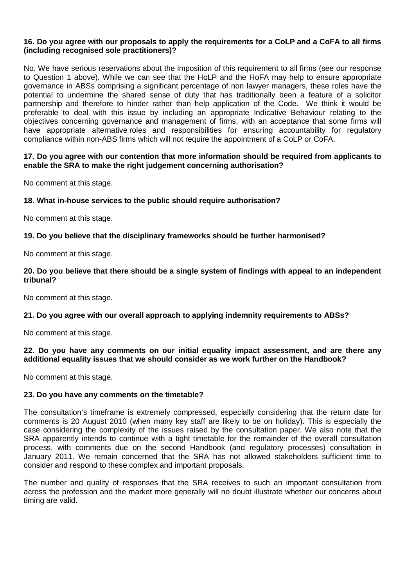# **16. Do you agree with our proposals to apply the requirements for a CoLP and a CoFA to all firms (including recognised sole practitioners)?**

No. We have serious reservations about the imposition of this requirement to all firms (see our response to Question 1 above). While we can see that the HoLP and the HoFA may help to ensure appropriate governance in ABSs comprising a significant percentage of non lawyer managers, these roles have the potential to undermine the shared sense of duty that has traditionally been a feature of a solicitor partnership and therefore to hinder rather than help application of the Code. We think it would be preferable to deal with this issue by including an appropriate Indicative Behaviour relating to the objectives concerning governance and management of firms, with an acceptance that some firms will have appropriate alternative roles and responsibilities for ensuring accountability for regulatory compliance within non-ABS firms which will not require the appointment of a CoLP or CoFA.

# **17. Do you agree with our contention that more information should be required from applicants to enable the SRA to make the right judgement concerning authorisation?**

No comment at this stage.

## **18. What in-house services to the public should require authorisation?**

No comment at this stage.

## **19. Do you believe that the disciplinary frameworks should be further harmonised?**

No comment at this stage.

# **20. Do you believe that there should be a single system of findings with appeal to an independent tribunal?**

No comment at this stage.

# **21. Do you agree with our overall approach to applying indemnity requirements to ABSs?**

No comment at this stage.

## **22. Do you have any comments on our initial equality impact assessment, and are there any additional equality issues that we should consider as we work further on the Handbook?**

No comment at this stage.

#### **23. Do you have any comments on the timetable?**

The consultation's timeframe is extremely compressed, especially considering that the return date for comments is 20 August 2010 (when many key staff are likely to be on holiday). This is especially the case considering the complexity of the issues raised by the consultation paper. We also note that the SRA apparently intends to continue with a tight timetable for the remainder of the overall consultation process, with comments due on the second Handbook (and regulatory processes) consultation in January 2011. We remain concerned that the SRA has not allowed stakeholders sufficient time to consider and respond to these complex and important proposals.

The number and quality of responses that the SRA receives to such an important consultation from across the profession and the market more generally will no doubt illustrate whether our concerns about timing are valid.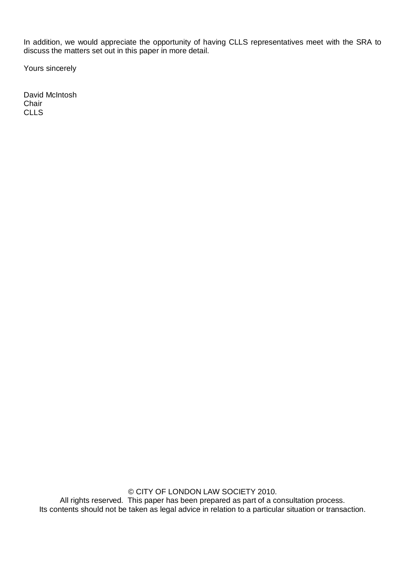In addition, we would appreciate the opportunity of having CLLS representatives meet with the SRA to discuss the matters set out in this paper in more detail.

Yours sincerely

David McIntosh **Chair** CLLS

> © CITY OF LONDON LAW SOCIETY 2010. All rights reserved. This paper has been prepared as part of a consultation process. Its contents should not be taken as legal advice in relation to a particular situation or transaction.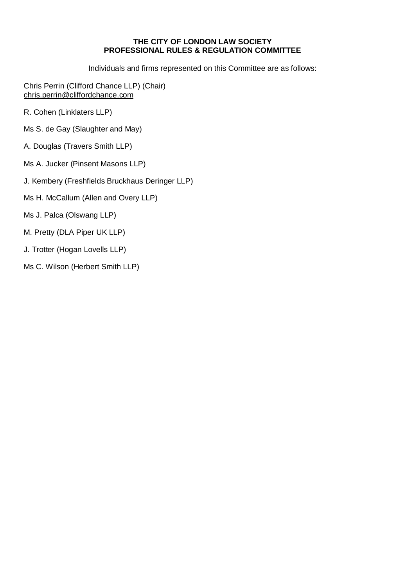## **THE CITY OF LONDON LAW SOCIETY PROFESSIONAL RULES & REGULATION COMMITTEE**

Individuals and firms represented on this Committee are as follows:

Chris Perrin (Clifford Chance LLP) (Chair) [chris.perrin@cliffordchance.com](mailto:chris.perrin@cliffordchance.com)

- R. Cohen (Linklaters LLP)
- Ms S. de Gay (Slaughter and May)
- A. Douglas (Travers Smith LLP)
- Ms A. Jucker (Pinsent Masons LLP)
- J. Kembery (Freshfields Bruckhaus Deringer LLP)
- Ms H. McCallum (Allen and Overy LLP)
- Ms J. Palca (Olswang LLP)
- M. Pretty (DLA Piper UK LLP)
- J. Trotter (Hogan Lovells LLP)
- Ms C. Wilson (Herbert Smith LLP)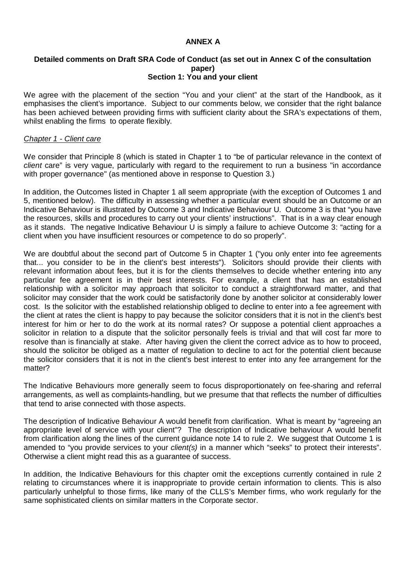## **ANNEX A**

#### **Detailed comments on Draft SRA Code of Conduct (as set out in Annex C of the consultation paper) Section 1: You and your client**

We agree with the placement of the section "You and your client" at the start of the Handbook, as it emphasises the client's importance. Subject to our comments below, we consider that the right balance has been achieved between providing firms with sufficient clarity about the SRA's expectations of them, whilst enabling the firms to operate flexibly.

#### *Chapter 1 - Client care*

We consider that Principle 8 (which is stated in Chapter 1 to "be of particular relevance in the context of *client* care" is very vague, particularly with regard to the requirement to run a business "in accordance with proper governance" (as mentioned above in response to Question 3.)

In addition, the Outcomes listed in Chapter 1 all seem appropriate (with the exception of Outcomes 1 and 5, mentioned below). The difficulty in assessing whether a particular event should be an Outcome or an Indicative Behaviour is illustrated by Outcome 3 and Indicative Behaviour U. Outcome 3 is that "you have the resources, skills and procedures to carry out your clients' instructions". That is in a way clear enough as it stands. The negative Indicative Behaviour U is simply a failure to achieve Outcome 3: "acting for a client when you have insufficient resources or competence to do so properly".

We are doubtful about the second part of Outcome 5 in Chapter 1 ("you only enter into fee agreements that... you consider to be in the client's best interests"). Solicitors should provide their clients with relevant information about fees, but it is for the clients themselves to decide whether entering into any particular fee agreement is in their best interests. For example, a client that has an established relationship with a solicitor may approach that solicitor to conduct a straightforward matter, and that solicitor may consider that the work could be satisfactorily done by another solicitor at considerably lower cost. Is the solicitor with the established relationship obliged to decline to enter into a fee agreement with the client at rates the client is happy to pay because the solicitor considers that it is not in the client's best interest for him or her to do the work at its normal rates? Or suppose a potential client approaches a solicitor in relation to a dispute that the solicitor personally feels is trivial and that will cost far more to resolve than is financially at stake. After having given the client the correct advice as to how to proceed, should the solicitor be obliged as a matter of regulation to decline to act for the potential client because the solicitor considers that it is not in the client's best interest to enter into any fee arrangement for the matter?

The Indicative Behaviours more generally seem to focus disproportionately on fee-sharing and referral arrangements, as well as complaints-handling, but we presume that that reflects the number of difficulties that tend to arise connected with those aspects.

The description of Indicative Behaviour A would benefit from clarification. What is meant by "agreeing an appropriate level of service with your client"? The description of Indicative behaviour A would benefit from clarification along the lines of the current guidance note 14 to rule 2. We suggest that Outcome 1 is amended to "you provide services to your *client(s)* in a manner which "seeks" to protect their interests". Otherwise a client might read this as a guarantee of success.

In addition, the Indicative Behaviours for this chapter omit the exceptions currently contained in rule 2 relating to circumstances where it is inappropriate to provide certain information to clients. This is also particularly unhelpful to those firms, like many of the CLLS's Member firms, who work regularly for the same sophisticated clients on similar matters in the Corporate sector.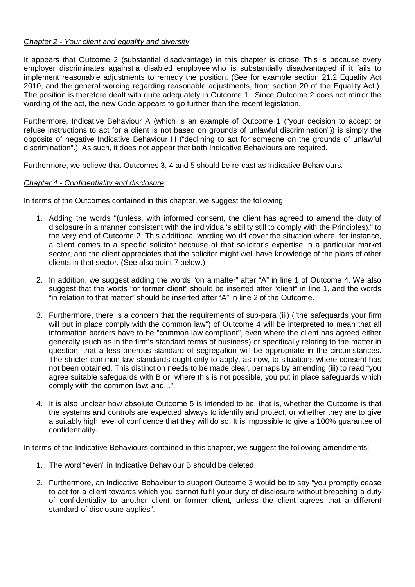# *Chapter 2 - Your client and equality and diversity*

It appears that Outcome 2 (substantial disadvantage) in this chapter is otiose. This is because every employer discriminates against a disabled employee who is substantially disadvantaged if it fails to implement reasonable adjustments to remedy the position. (See for example section 21.2 Equality Act 2010, and the general wording regarding reasonable adjustments, from section 20 of the Equality Act.) The position is therefore dealt with quite adequately in Outcome 1. Since Outcome 2 does not mirror the wording of the act, the new Code appears to go further than the recent legislation.

Furthermore, Indicative Behaviour A (which is an example of Outcome 1 ("your decision to accept or refuse instructions to act for a client is not based on grounds of unlawful discrimination")) is simply the opposite of negative Indicative Behaviour H ("declining to act for someone on the grounds of unlawful discrimination".) As such, it does not appear that both Indicative Behaviours are required.

Furthermore, we believe that Outcomes 3, 4 and 5 should be re-cast as Indicative Behaviours.

## *Chapter 4 - Confidentiality and disclosure*

In terms of the Outcomes contained in this chapter, we suggest the following:

- 1. Adding the words "(unless, with informed consent, the client has agreed to amend the duty of disclosure in a manner consistent with the individual's ability still to comply with the Principles)." to the very end of Outcome 2. This additional wording would cover the situation where, for instance, a client comes to a specific solicitor because of that solicitor's expertise in a particular market sector, and the client appreciates that the solicitor might well have knowledge of the plans of other clients in that sector. (See also point 7 below.)
- 2. In addition, we suggest adding the words "on a matter" after "A" in line 1 of Outcome 4. We also suggest that the words "or former client" should be inserted after "client" in line 1, and the words "in relation to that matter" should be inserted after "A" in line 2 of the Outcome.
- 3. Furthermore, there is a concern that the requirements of sub-para (iii) ("the safeguards your firm will put in place comply with the common law") of Outcome 4 will be interpreted to mean that all information barriers have to be "common law compliant", even where the client has agreed either generally (such as in the firm's standard terms of business) or specifically relating to the matter in question, that a less onerous standard of segregation will be appropriate in the circumstances. The stricter common law standards ought only to apply, as now, to situations where consent has not been obtained. This distinction needs to be made clear, perhaps by amending (iii) to read "you agree suitable safeguards with B or, where this is not possible, you put in place safeguards which comply with the common law; and...".
- 4. It is also unclear how absolute Outcome 5 is intended to be, that is, whether the Outcome is that the systems and controls are expected always to identify and protect, or whether they are to give a suitably high level of confidence that they will do so. It is impossible to give a 100% guarantee of confidentiality.

In terms of the Indicative Behaviours contained in this chapter, we suggest the following amendments:

- 1. The word "even" in Indicative Behaviour B should be deleted.
- 2. Furthermore, an Indicative Behaviour to support Outcome 3 would be to say "you promptly cease to act for a client towards which you cannot fulfil your duty of disclosure without breaching a duty of confidentiality to another client or former client, unless the client agrees that a different standard of disclosure applies".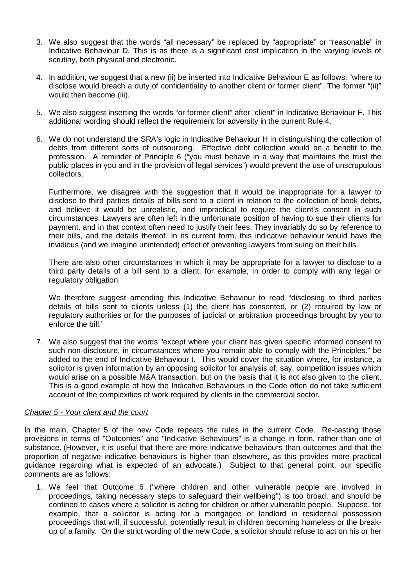- 3. We also suggest that the words "all necessary" be replaced by "appropriate" or "reasonable" in Indicative Behaviour D. This is as there is a significant cost implication in the varying levels of scrutiny, both physical and electronic.
- 4. In addition, we suggest that a new (ii) be inserted into Indicative Behaviour E as follows: "where to disclose would breach a duty of confidentiality to another client or former client". The former "(ii)" would then become (iii).
- 5. We also suggest inserting the words "or former client" after "client" in Indicative Behaviour F. This additional wording should reflect the requirement for adversity in the current Rule 4.
- 6. We do not understand the SRA's logic in Indicative Behaviour H in distinguishing the collection of debts from different sorts of outsourcing. Effective debt collection would be a benefit to the profession. A reminder of Principle 6 ("you must behave in a way that maintains the trust the public places in you and in the provision of legal services") would prevent the use of unscrupulous collectors.

Furthermore, we disagree with the suggestion that it would be inappropriate for a lawyer to disclose to third parties details of bills sent to a client in relation to the collection of book debts, and believe it would be unrealistic, and impractical to require the client's consent in such circumstances. Lawyers are often left in the unfortunate position of having to sue their clients for payment, and in that context often need to justify their fees. They invariably do so by reference to their bills, and the details thereof. In its current form, this indicative behaviour would have the invidious (and we imagine unintended) effect of preventing lawyers from suing on their bills.

There are also other circumstances in which it may be appropriate for a lawyer to disclose to a third party details of a bill sent to a client, for example, in order to comply with any legal or regulatory obligation.

We therefore suggest amending this Indicative Behaviour to read "disclosing to third parties details of bills sent to clients unless (1) the client has consented, or (2) required by law or regulatory authorities or for the purposes of judicial or arbitration proceedings brought by you to enforce the bill."

7. We also suggest that the words "except where your client has given specific informed consent to such non-disclosure, in circumstances where you remain able to comply with the Principles." be added to the end of Indicative Behaviour I. This would cover the situation where, for instance, a solicitor is given information by an opposing solicitor for analysis of, say, competition issues which would arise on a possible M&A transaction, but on the basis that it is not also given to the client. This is a good example of how the Indicative Behaviours in the Code often do not take sufficient account of the complexities of work required by clients in the commercial sector.

# *Chapter 5 - Your client and the court*

In the main, Chapter 5 of the new Code repeats the rules in the current Code. Re-casting those provisions in terms of "Outcomes" and "Indicative Behaviours" is a change in form, rather than one of substance. (However, it is useful that there are more indicative behaviours than outcomes and that the proportion of negative indicative behaviours is higher than elsewhere, as this provides more practical guidance regarding what is expected of an advocate.) Subject to that general point, our specific comments are as follows:

1. We feel that Outcome 6 ("where children and other vulnerable people are involved in proceedings, taking necessary steps to safeguard their wellbeing") is too broad, and should be confined to cases where a solicitor is acting for children or other vulnerable people. Suppose, for example, that a solicitor is acting for a mortgagee or landlord in residential possession proceedings that will, if successful, potentially result in children becoming homeless or the breakup of a family. On the strict wording of the new Code, a solicitor should refuse to act on his or her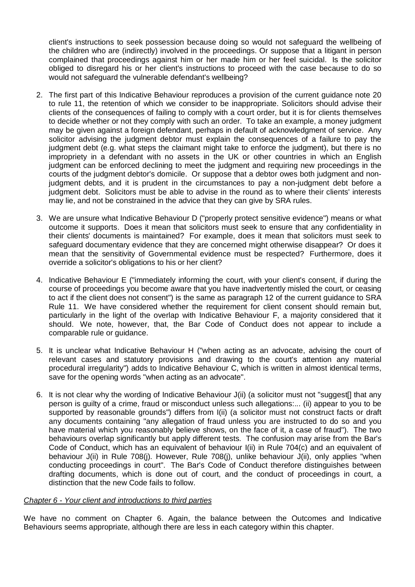client's instructions to seek possession because doing so would not safeguard the wellbeing of the children who are (indirectly) involved in the proceedings. Or suppose that a litigant in person complained that proceedings against him or her made him or her feel suicidal. Is the solicitor obliged to disregard his or her client's instructions to proceed with the case because to do so would not safeguard the vulnerable defendant's wellbeing?

- 2. The first part of this Indicative Behaviour reproduces a provision of the current guidance note 20 to rule 11, the retention of which we consider to be inappropriate. Solicitors should advise their clients of the consequences of failing to comply with a court order, but it is for clients themselves to decide whether or not they comply with such an order. To take an example, a money judgment may be given against a foreign defendant, perhaps in default of acknowledgment of service. Any solicitor advising the judgment debtor must explain the consequences of a failure to pay the judgment debt (e.g. what steps the claimant might take to enforce the judgment), but there is no impropriety in a defendant with no assets in the UK or other countries in which an English judgment can be enforced declining to meet the judgment and requiring new proceedings in the courts of the judgment debtor's domicile. Or suppose that a debtor owes both judgment and nonjudgment debts, and it is prudent in the circumstances to pay a non-judgment debt before a judgment debt. Solicitors must be able to advise in the round as to where their clients' interests may lie, and not be constrained in the advice that they can give by SRA rules.
- 3. We are unsure what Indicative Behaviour D ("properly protect sensitive evidence") means or what outcome it supports. Does it mean that solicitors must seek to ensure that any confidentiality in their clients' documents is maintained? For example, does it mean that solicitors must seek to safeguard documentary evidence that they are concerned might otherwise disappear? Or does it mean that the sensitivity of Governmental evidence must be respected? Furthermore, does it override a solicitor's obligations to his or her client?
- 4. Indicative Behaviour E ("immediately informing the court, with your client's consent, if during the course of proceedings you become aware that you have inadvertently misled the court, or ceasing to act if the client does not consent") is the same as paragraph 12 of the current guidance to SRA Rule 11. We have considered whether the requirement for client consent should remain but, particularly in the light of the overlap with Indicative Behaviour F, a majority considered that it should. We note, however, that, the Bar Code of Conduct does not appear to include a comparable rule or guidance.
- 5. It is unclear what Indicative Behaviour H ("when acting as an advocate, advising the court of relevant cases and statutory provisions and drawing to the court's attention any material procedural irregularity") adds to Indicative Behaviour C, which is written in almost identical terms, save for the opening words "when acting as an advocate".
- 6. It is not clear why the wording of Indicative Behaviour J(ii) (a solicitor must not "suggest[] that any person is guilty of a crime, fraud or misconduct unless such allegations:... (ii) appear to you to be supported by reasonable grounds") differs from I(ii) (a solicitor must not construct facts or draft any documents containing "any allegation of fraud unless you are instructed to do so and you have material which you reasonably believe shows, on the face of it, a case of fraud"). The two behaviours overlap significantly but apply different tests. The confusion may arise from the Bar's Code of Conduct, which has an equivalent of behaviour I(ii) in Rule 704(c) and an equivalent of behaviour J(ii) in Rule 708(j). However, Rule 708(j), unlike behaviour J(ii), only applies "when conducting proceedings in court". The Bar's Code of Conduct therefore distinguishes between drafting documents, which is done out of court, and the conduct of proceedings in court, a distinction that the new Code fails to follow.

# *Chapter 6 - Your client and introductions to third parties*

We have no comment on Chapter 6. Again, the balance between the Outcomes and Indicative Behaviours seems appropriate, although there are less in each category within this chapter.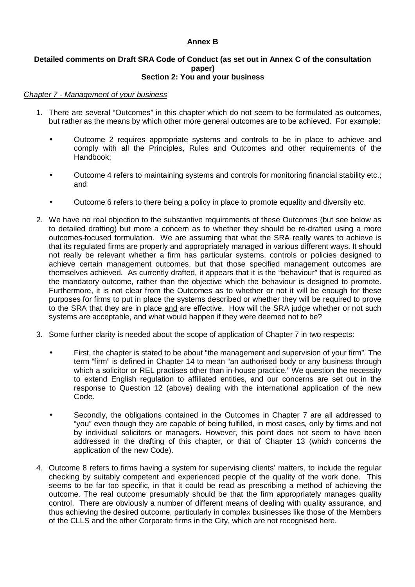# **Annex B**

#### **Detailed comments on Draft SRA Code of Conduct (as set out in Annex C of the consultation paper) Section 2: You and your business**

## *Chapter 7 - Management of your business*

- 1. There are several "Outcomes" in this chapter which do not seem to be formulated as outcomes, but rather as the means by which other more general outcomes are to be achieved. For example:
	- Outcome 2 requires appropriate systems and controls to be in place to achieve and comply with all the Principles, Rules and Outcomes and other requirements of the Handbook;
	- Outcome 4 refers to maintaining systems and controls for monitoring financial stability etc.; and
	- Outcome 6 refers to there being a policy in place to promote equality and diversity etc.
- 2. We have no real objection to the substantive requirements of these Outcomes (but see below as to detailed drafting) but more a concern as to whether they should be re-drafted using a more outcomes-focused formulation. We are assuming that what the SRA really wants to achieve is that its regulated firms are properly and appropriately managed in various different ways. It should not really be relevant whether a firm has particular systems, controls or policies designed to achieve certain management outcomes, but that those specified management outcomes are themselves achieved. As currently drafted, it appears that it is the "behaviour" that is required as the mandatory outcome, rather than the objective which the behaviour is designed to promote. Furthermore, it is not clear from the Outcomes as to whether or not it will be enough for these purposes for firms to put in place the systems described or whether they will be required to prove to the SRA that they are in place and are effective. How will the SRA judge whether or not such systems are acceptable, and what would happen if they were deemed not to be?
- 3. Some further clarity is needed about the scope of application of Chapter 7 in two respects:
	- First, the chapter is stated to be about "the management and supervision of your firm". The term "firm" is defined in Chapter 14 to mean "an authorised body or any business through which a solicitor or REL practises other than in-house practice." We question the necessity to extend English regulation to affiliated entities, and our concerns are set out in the response to Question 12 (above) dealing with the international application of the new Code.
	- Secondly, the obligations contained in the Outcomes in Chapter 7 are all addressed to "you" even though they are capable of being fulfilled, in most cases, only by firms and not by individual solicitors or managers. However, this point does not seem to have been addressed in the drafting of this chapter, or that of Chapter 13 (which concerns the application of the new Code).
- 4. Outcome 8 refers to firms having a system for supervising clients' matters, to include the regular checking by suitably competent and experienced people of the quality of the work done. This seems to be far too specific, in that it could be read as prescribing a method of achieving the outcome. The real outcome presumably should be that the firm appropriately manages quality control. There are obviously a number of different means of dealing with quality assurance, and thus achieving the desired outcome, particularly in complex businesses like those of the Members of the CLLS and the other Corporate firms in the City, which are not recognised here.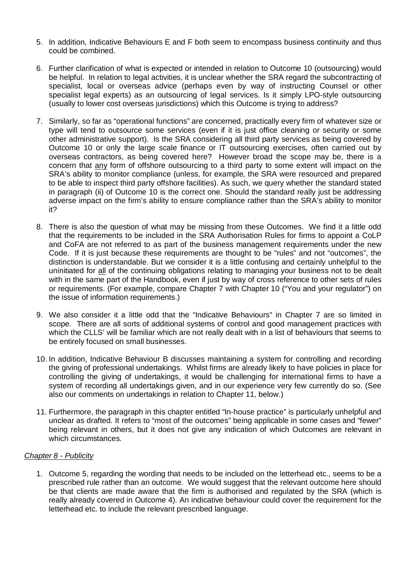- 5. In addition, Indicative Behaviours E and F both seem to encompass business continuity and thus could be combined.
- 6. Further clarification of what is expected or intended in relation to Outcome 10 (outsourcing) would be helpful. In relation to legal activities, it is unclear whether the SRA regard the subcontracting of specialist, local or overseas advice (perhaps even by way of instructing Counsel or other specialist legal experts) as an outsourcing of legal services. Is it simply LPO-style outsourcing (usually to lower cost overseas jurisdictions) which this Outcome is trying to address?
- 7. Similarly, so far as "operational functions" are concerned, practically every firm of whatever size or type will tend to outsource some services (even if it is just office cleaning or security or some other administrative support). Is the SRA considering all third party services as being covered by Outcome 10 or only the large scale finance or IT outsourcing exercises, often carried out by overseas contractors, as being covered here? However broad the scope may be, there is a concern that any form of offshore outsourcing to a third party to some extent will impact on the SRA's ability to monitor compliance (unless, for example, the SRA were resourced and prepared to be able to inspect third party offshore facilities). As such, we query whether the standard stated in paragraph (ii) of Outcome 10 is the correct one. Should the standard really just be addressing adverse impact on the firm's ability to ensure compliance rather than the SRA's ability to monitor it?
- 8. There is also the question of what may be missing from these Outcomes. We find it a little odd that the requirements to be included in the SRA Authorisation Rules for firms to appoint a CoLP and CoFA are not referred to as part of the business management requirements under the new Code. If it is just because these requirements are thought to be "rules" and not "outcomes", the distinction is understandable. But we consider it is a little confusing and certainly unhelpful to the uninitiated for all of the continuing obligations relating to managing your business not to be dealt with in the same part of the Handbook, even if just by way of cross reference to other sets of rules or requirements. (For example, compare Chapter 7 with Chapter 10 ("You and your regulator") on the issue of information requirements.)
- 9. We also consider it a little odd that the "Indicative Behaviours" in Chapter 7 are so limited in scope. There are all sorts of additional systems of control and good management practices with which the CLLS' will be familiar which are not really dealt with in a list of behaviours that seems to be entirely focused on small businesses.
- 10. In addition, Indicative Behaviour B discusses maintaining a system for controlling and recording the giving of professional undertakings. Whilst firms are already likely to have policies in place for controlling the giving of undertakings, it would be challenging for international firms to have a system of recording all undertakings given, and in our experience very few currently do so. (See also our comments on undertakings in relation to Chapter 11, below.)
- 11. Furthermore, the paragraph in this chapter entitled "In-house practice" is particularly unhelpful and unclear as drafted. It refers to "most of the outcomes" being applicable in some cases and "fewer" being relevant in others, but it does not give any indication of which Outcomes are relevant in which circumstances.

# *Chapter 8 - Publicity*

1. Outcome 5, regarding the wording that needs to be included on the letterhead etc., seems to be a prescribed rule rather than an outcome. We would suggest that the relevant outcome here should be that clients are made aware that the firm is authorised and regulated by the SRA (which is really already covered in Outcome 4). An indicative behaviour could cover the requirement for the letterhead etc. to include the relevant prescribed language.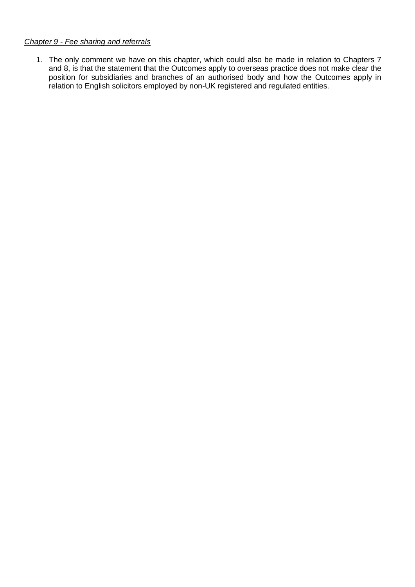# *Chapter 9 - Fee sharing and referrals*

1. The only comment we have on this chapter, which could also be made in relation to Chapters 7 and 8, is that the statement that the Outcomes apply to overseas practice does not make clear the position for subsidiaries and branches of an authorised body and how the Outcomes apply in relation to English solicitors employed by non-UK registered and regulated entities.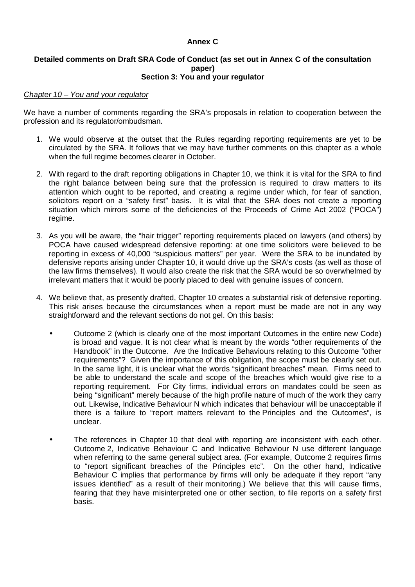# **Annex C**

#### **Detailed comments on Draft SRA Code of Conduct (as set out in Annex C of the consultation paper) Section 3: You and your regulator**

#### *Chapter 10 – You and your regulator*

We have a number of comments regarding the SRA's proposals in relation to cooperation between the profession and its regulator/ombudsman.

- 1. We would observe at the outset that the Rules regarding reporting requirements are yet to be circulated by the SRA. It follows that we may have further comments on this chapter as a whole when the full regime becomes clearer in October.
- 2. With regard to the draft reporting obligations in Chapter 10, we think it is vital for the SRA to find the right balance between being sure that the profession is required to draw matters to its attention which ought to be reported, and creating a regime under which, for fear of sanction, solicitors report on a "safety first" basis. It is vital that the SRA does not create a reporting situation which mirrors some of the deficiencies of the Proceeds of Crime Act 2002 ("POCA") regime.
- 3. As you will be aware, the "hair trigger" reporting requirements placed on lawyers (and others) by POCA have caused widespread defensive reporting: at one time solicitors were believed to be reporting in excess of 40,000 "suspicious matters" per year. Were the SRA to be inundated by defensive reports arising under Chapter 10, it would drive up the SRA's costs (as well as those of the law firms themselves). It would also create the risk that the SRA would be so overwhelmed by irrelevant matters that it would be poorly placed to deal with genuine issues of concern.
- 4. We believe that, as presently drafted, Chapter 10 creates a substantial risk of defensive reporting. This risk arises because the circumstances when a report must be made are not in any way straightforward and the relevant sections do not gel. On this basis:
	- Outcome 2 (which is clearly one of the most important Outcomes in the entire new Code) is broad and vague. It is not clear what is meant by the words "other requirements of the Handbook" in the Outcome. Are the Indicative Behaviours relating to this Outcome "other requirements"? Given the importance of this obligation, the scope must be clearly set out. In the same light, it is unclear what the words "significant breaches" mean. Firms need to be able to understand the scale and scope of the breaches which would give rise to a reporting requirement. For City firms, individual errors on mandates could be seen as being "significant" merely because of the high profile nature of much of the work they carry out. Likewise, Indicative Behaviour N which indicates that behaviour will be unacceptable if there is a failure to "report matters relevant to the Principles and the Outcomes", is unclear.
	- The references in Chapter 10 that deal with reporting are inconsistent with each other. Outcome 2, Indicative Behaviour C and Indicative Behaviour N use different language when referring to the same general subject area. (For example, Outcome 2 requires firms to "report significant breaches of the Principles etc". On the other hand, Indicative Behaviour C implies that performance by firms will only be adequate if they report "any issues identified" as a result of their monitoring.) We believe that this will cause firms, fearing that they have misinterpreted one or other section, to file reports on a safety first basis.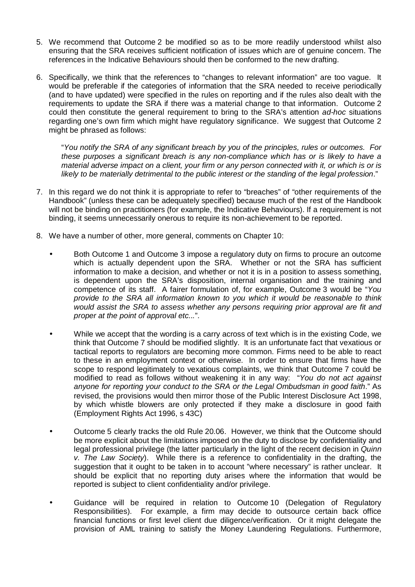- 5. We recommend that Outcome 2 be modified so as to be more readily understood whilst also ensuring that the SRA receives sufficient notification of issues which are of genuine concern. The references in the Indicative Behaviours should then be conformed to the new drafting.
- 6. Specifically, we think that the references to "changes to relevant information" are too vague. It would be preferable if the categories of information that the SRA needed to receive periodically (and to have updated) were specified in the rules on reporting and if the rules also dealt with the requirements to update the SRA if there was a material change to that information. Outcome 2 could then constitute the general requirement to bring to the SRA's attention *ad-hoc* situations regarding one's own firm which might have regulatory significance. We suggest that Outcome 2 might be phrased as follows:

"*You notify the SRA of any significant breach by you of the principles, rules or outcomes. For these purposes a significant breach is any non-compliance which has or is likely to have a material adverse impact on a client, your firm or any person connected with it, or which is or is likely to be materially detrimental to the public interest or the standing of the legal profession*."

- 7. In this regard we do not think it is appropriate to refer to "breaches" of "other requirements of the Handbook" (unless these can be adequately specified) because much of the rest of the Handbook will not be binding on practitioners (for example, the Indicative Behaviours). If a requirement is not binding, it seems unnecessarily onerous to require its non-achievement to be reported.
- 8. We have a number of other, more general, comments on Chapter 10:
	- Both Outcome 1 and Outcome 3 impose a regulatory duty on firms to procure an outcome which is actually dependent upon the SRA. Whether or not the SRA has sufficient information to make a decision, and whether or not it is in a position to assess something, is dependent upon the SRA's disposition, internal organisation and the training and competence of its staff. A fairer formulation of, for example, Outcome 3 would be "*You provide to the SRA all information known to you which it would be reasonable to think would assist the SRA to assess whether any persons requiring prior approval are fit and proper at the point of approval etc...*".
	- While we accept that the wording is a carry across of text which is in the existing Code, we think that Outcome 7 should be modified slightly. It is an unfortunate fact that vexatious or tactical reports to regulators are becoming more common. Firms need to be able to react to these in an employment context or otherwise. In order to ensure that firms have the scope to respond legitimately to vexatious complaints, we think that Outcome 7 could be modified to read as follows without weakening it in any way: "*You do not act against anyone for reporting your conduct to the SRA or the Legal Ombudsman in good faith*." As revised, the provisions would then mirror those of the Public Interest Disclosure Act 1998, by which whistle blowers are only protected if they make a disclosure in good faith (Employment Rights Act 1996, s 43C)
	- Outcome 5 clearly tracks the old Rule 20.06. However, we think that the Outcome should be more explicit about the limitations imposed on the duty to disclose by confidentiality and legal professional privilege (the latter particularly in the light of the recent decision in *Quinn v. The Law Society*). While there is a reference to confidentiality in the drafting, the suggestion that it ought to be taken in to account "where necessary" is rather unclear. It should be explicit that no reporting duty arises where the information that would be reported is subject to client confidentiality and/or privilege.
	- Guidance will be required in relation to Outcome 10 (Delegation of Regulatory Responsibilities). For example, a firm may decide to outsource certain back office financial functions or first level client due diligence/verification. Or it might delegate the provision of AML training to satisfy the Money Laundering Regulations. Furthermore,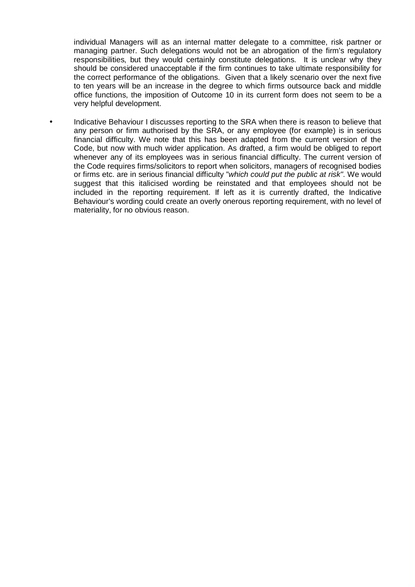individual Managers will as an internal matter delegate to a committee, risk partner or managing partner. Such delegations would not be an abrogation of the firm's regulatory responsibilities, but they would certainly constitute delegations. It is unclear why they should be considered unacceptable if the firm continues to take ultimate responsibility for the correct performance of the obligations. Given that a likely scenario over the next five to ten years will be an increase in the degree to which firms outsource back and middle office functions, the imposition of Outcome 10 in its current form does not seem to be a very helpful development.

• Indicative Behaviour I discusses reporting to the SRA when there is reason to believe that any person or firm authorised by the SRA, or any employee (for example) is in serious financial difficulty. We note that this has been adapted from the current version of the Code, but now with much wider application. As drafted, a firm would be obliged to report whenever any of its employees was in serious financial difficulty. The current version of the Code requires firms/solicitors to report when solicitors, managers of recognised bodies or firms etc. are in serious financial difficulty "*which could put the public at risk"*. We would suggest that this italicised wording be reinstated and that employees should not be included in the reporting requirement. If left as it is currently drafted, the Indicative Behaviour's wording could create an overly onerous reporting requirement, with no level of materiality, for no obvious reason.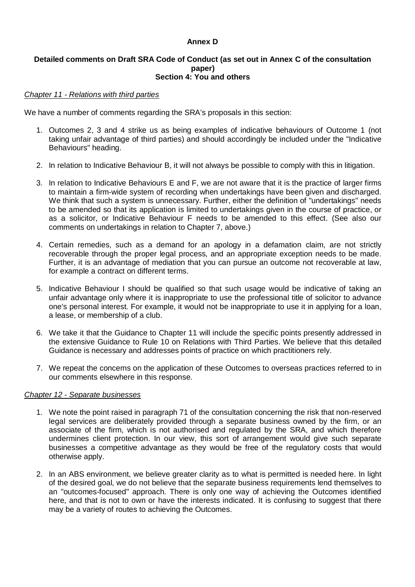# **Annex D**

#### **Detailed comments on Draft SRA Code of Conduct (as set out in Annex C of the consultation paper) Section 4: You and others**

## *Chapter 11 - Relations with third parties*

We have a number of comments regarding the SRA's proposals in this section:

- 1. Outcomes 2, 3 and 4 strike us as being examples of indicative behaviours of Outcome 1 (not taking unfair advantage of third parties) and should accordingly be included under the "Indicative Behaviours" heading.
- 2. In relation to Indicative Behaviour B, it will not always be possible to comply with this in litigation.
- 3. In relation to Indicative Behaviours E and F, we are not aware that it is the practice of larger firms to maintain a firm-wide system of recording when undertakings have been given and discharged. We think that such a system is unnecessary. Further, either the definition of "undertakings" needs to be amended so that its application is limited to undertakings given in the course of practice, or as a solicitor, or Indicative Behaviour F needs to be amended to this effect. (See also our comments on undertakings in relation to Chapter 7, above.)
- 4. Certain remedies, such as a demand for an apology in a defamation claim, are not strictly recoverable through the proper legal process, and an appropriate exception needs to be made. Further, it is an advantage of mediation that you can pursue an outcome not recoverable at law, for example a contract on different terms.
- 5. Indicative Behaviour I should be qualified so that such usage would be indicative of taking an unfair advantage only where it is inappropriate to use the professional title of solicitor to advance one's personal interest. For example, it would not be inappropriate to use it in applying for a loan, a lease, or membership of a club.
- 6. We take it that the Guidance to Chapter 11 will include the specific points presently addressed in the extensive Guidance to Rule 10 on Relations with Third Parties. We believe that this detailed Guidance is necessary and addresses points of practice on which practitioners rely.
- 7. We repeat the concerns on the application of these Outcomes to overseas practices referred to in our comments elsewhere in this response.

#### *Chapter 12 - Separate businesses*

- 1. We note the point raised in paragraph 71 of the consultation concerning the risk that non-reserved legal services are deliberately provided through a separate business owned by the firm, or an associate of the firm, which is not authorised and regulated by the SRA, and which therefore undermines client protection. In our view, this sort of arrangement would give such separate businesses a competitive advantage as they would be free of the regulatory costs that would otherwise apply.
- 2. In an ABS environment, we believe greater clarity as to what is permitted is needed here. In light of the desired goal, we do not believe that the separate business requirements lend themselves to an "outcomes-focused" approach. There is only one way of achieving the Outcomes identified here, and that is not to own or have the interests indicated. It is confusing to suggest that there may be a variety of routes to achieving the Outcomes.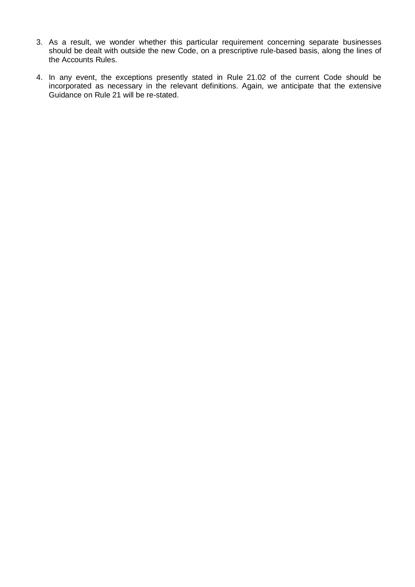- 3. As a result, we wonder whether this particular requirement concerning separate businesses should be dealt with outside the new Code, on a prescriptive rule-based basis, along the lines of the Accounts Rules.
- 4. In any event, the exceptions presently stated in Rule 21.02 of the current Code should be incorporated as necessary in the relevant definitions. Again, we anticipate that the extensive Guidance on Rule 21 will be re-stated.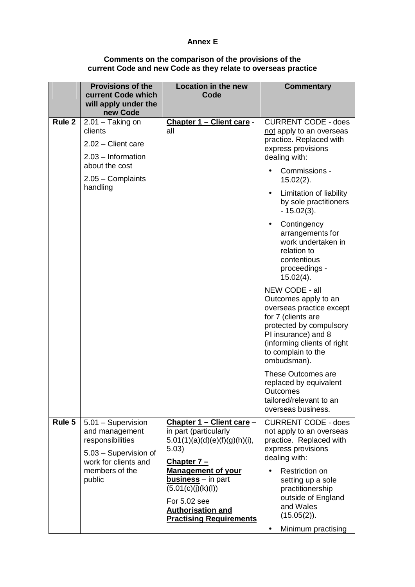## **Annex E**

#### **Comments on the comparison of the provisions of the current Code and new Code as they relate to overseas practice**

|        | <b>Provisions of the</b><br>current Code which<br>will apply under the<br>new Code                                                    | <b>Location in the new</b><br>Code                                                                                                                                                                                                                                              | <b>Commentary</b>                                                                                                                                                                                                                                                                                                                                                                                                                                                                                                                                                                                                                                                                      |
|--------|---------------------------------------------------------------------------------------------------------------------------------------|---------------------------------------------------------------------------------------------------------------------------------------------------------------------------------------------------------------------------------------------------------------------------------|----------------------------------------------------------------------------------------------------------------------------------------------------------------------------------------------------------------------------------------------------------------------------------------------------------------------------------------------------------------------------------------------------------------------------------------------------------------------------------------------------------------------------------------------------------------------------------------------------------------------------------------------------------------------------------------|
| Rule 2 | $2.01 - Taking$ on<br>clients<br>$2.02$ – Client care<br>$2.03 - Information$<br>about the cost<br>2.05 - Complaints<br>handling      | Chapter 1 - Client care -<br>all                                                                                                                                                                                                                                                | <b>CURRENT CODE - does</b><br>not apply to an overseas<br>practice. Replaced with<br>express provisions<br>dealing with:<br>Commissions -<br>$15.02(2)$ .<br>Limitation of liability<br>by sole practitioners<br>$-15.02(3)$ .<br>Contingency<br>arrangements for<br>work undertaken in<br>relation to<br>contentious<br>proceedings -<br>$15.02(4)$ .<br>NEW CODE - all<br>Outcomes apply to an<br>overseas practice except<br>for 7 (clients are<br>protected by compulsory<br>PI insurance) and 8<br>(informing clients of right)<br>to complain to the<br>ombudsman).<br>These Outcomes are<br>replaced by equivalent<br>Outcomes<br>tailored/relevant to an<br>overseas business. |
| Rule 5 | 5.01 - Supervision<br>and management<br>responsibilities<br>5.03 - Supervision of<br>work for clients and<br>members of the<br>public | <u>Chapter 1 – Client care –</u><br>in part (particularly<br>5.01(1)(a)(d)(e)(f)(g)(h)(i),<br>5.03)<br>Chapter 7-<br><b>Management of your</b><br><b>business</b> – in part<br>(5.01(c)(j)(k)(l))<br>For 5.02 see<br><b>Authorisation and</b><br><b>Practising Requirements</b> | <b>CURRENT CODE - does</b><br>not apply to an overseas<br>practice. Replaced with<br>express provisions<br>dealing with:<br><b>Restriction on</b><br>setting up a sole<br>practitionership<br>outside of England<br>and Wales<br>$(15.05(2))$ .<br>Minimum practising<br>٠                                                                                                                                                                                                                                                                                                                                                                                                             |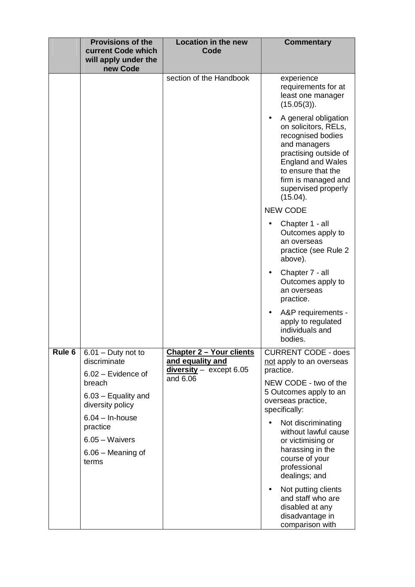|        | <b>Provisions of the</b><br>current Code which<br>will apply under the<br>new Code | <b>Location in the new</b><br>Code                                                           | <b>Commentary</b>                                                                                                                                                                                                      |
|--------|------------------------------------------------------------------------------------|----------------------------------------------------------------------------------------------|------------------------------------------------------------------------------------------------------------------------------------------------------------------------------------------------------------------------|
|        |                                                                                    | section of the Handbook                                                                      | experience<br>requirements for at<br>least one manager<br>$(15.05(3))$ .                                                                                                                                               |
|        |                                                                                    |                                                                                              | A general obligation<br>on solicitors, RELs,<br>recognised bodies<br>and managers<br>practising outside of<br><b>England and Wales</b><br>to ensure that the<br>firm is managed and<br>supervised properly<br>(15.04). |
|        |                                                                                    |                                                                                              | <b>NEW CODE</b>                                                                                                                                                                                                        |
|        |                                                                                    |                                                                                              | Chapter 1 - all<br>Outcomes apply to<br>an overseas<br>practice (see Rule 2<br>above).                                                                                                                                 |
|        |                                                                                    |                                                                                              | Chapter 7 - all<br>Outcomes apply to<br>an overseas<br>practice.                                                                                                                                                       |
|        |                                                                                    |                                                                                              | A&P requirements -<br>٠<br>apply to regulated<br>individuals and<br>bodies.                                                                                                                                            |
| Rule 6 | $\overline{6.01}$ – Duty not to<br>discriminate<br>$6.02$ – Evidence of            | <b>Chapter 2 - Your clients</b><br>and equality and<br>$diversity - except 6.05$<br>and 6.06 | <b>CURRENT CODE - does</b><br>not apply to an overseas<br>practice.                                                                                                                                                    |
|        | breach<br>$6.03$ – Equality and<br>diversity policy                                |                                                                                              | NEW CODE - two of the<br>5 Outcomes apply to an<br>overseas practice,<br>specifically:                                                                                                                                 |
|        | $6.04 - In$ -house<br>practice<br>$6.05 - Waivers$<br>6.06 – Meaning of<br>terms   |                                                                                              | Not discriminating<br>without lawful cause<br>or victimising or<br>harassing in the<br>course of your<br>professional<br>dealings; and                                                                                 |
|        |                                                                                    |                                                                                              | Not putting clients<br>$\bullet$<br>and staff who are<br>disabled at any<br>disadvantage in<br>comparison with                                                                                                         |